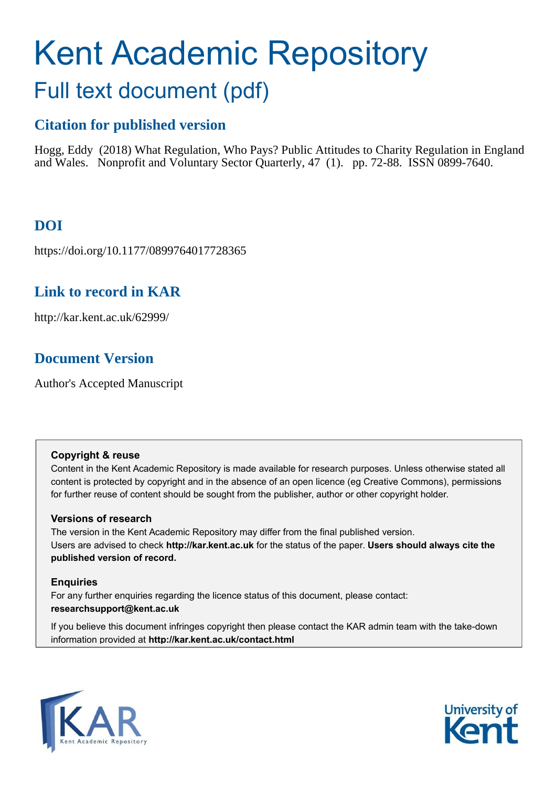# Kent Academic Repository Full text document (pdf)

# **Citation for published version**

Hogg, Eddy (2018) What Regulation, Who Pays? Public Attitudes to Charity Regulation in England and Wales. Nonprofit and Voluntary Sector Quarterly, 47 (1). pp. 72-88. ISSN 0899-7640.

# **DOI**

https://doi.org/10.1177/0899764017728365

# **Link to record in KAR**

http://kar.kent.ac.uk/62999/

# **Document Version**

Author's Accepted Manuscript

#### **Copyright & reuse**

Content in the Kent Academic Repository is made available for research purposes. Unless otherwise stated all content is protected by copyright and in the absence of an open licence (eg Creative Commons), permissions for further reuse of content should be sought from the publisher, author or other copyright holder.

## **Versions of research**

The version in the Kent Academic Repository may differ from the final published version. Users are advised to check **http://kar.kent.ac.uk** for the status of the paper. **Users should always cite the published version of record.**

## **Enquiries**

For any further enquiries regarding the licence status of this document, please contact: **researchsupport@kent.ac.uk**

If you believe this document infringes copyright then please contact the KAR admin team with the take-down information provided at **http://kar.kent.ac.uk/contact.html**



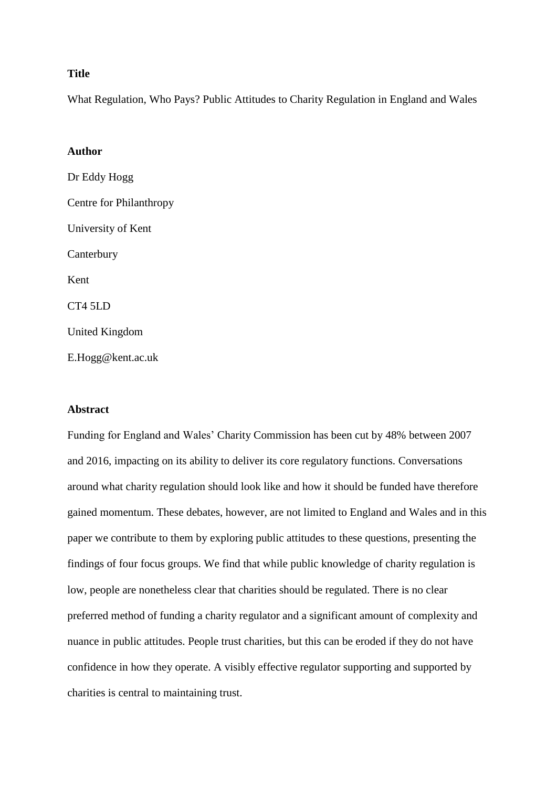#### **Title**

What Regulation, Who Pays? Public Attitudes to Charity Regulation in England and Wales

#### **Author**

Dr Eddy Hogg Centre for Philanthropy University of Kent **Canterbury** Kent CT4 5LD United Kingdom

E.Hogg@kent.ac.uk

#### **Abstract**

Funding for England and Wales' Charity Commission has been cut by 48% between 2007 and 2016, impacting on its ability to deliver its core regulatory functions. Conversations around what charity regulation should look like and how it should be funded have therefore gained momentum. These debates, however, are not limited to England and Wales and in this paper we contribute to them by exploring public attitudes to these questions, presenting the findings of four focus groups. We find that while public knowledge of charity regulation is low, people are nonetheless clear that charities should be regulated. There is no clear preferred method of funding a charity regulator and a significant amount of complexity and nuance in public attitudes. People trust charities, but this can be eroded if they do not have confidence in how they operate. A visibly effective regulator supporting and supported by charities is central to maintaining trust.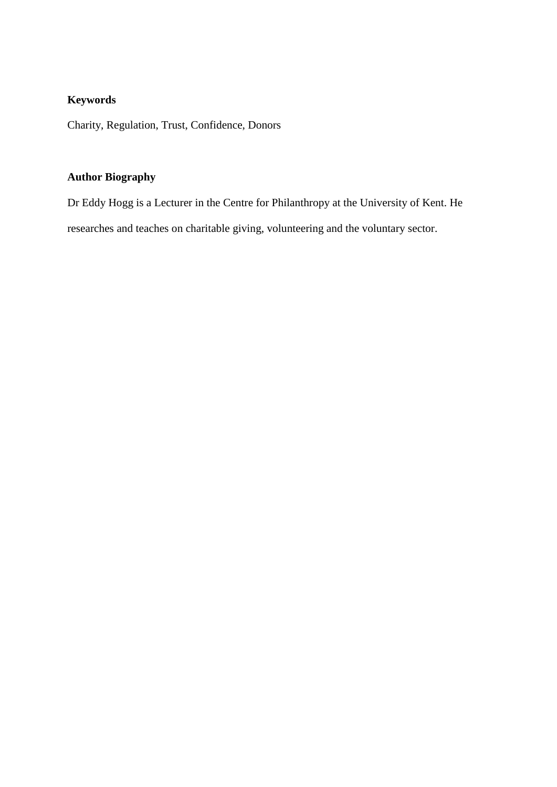## **Keywords**

Charity, Regulation, Trust, Confidence, Donors

## **Author Biography**

Dr Eddy Hogg is a Lecturer in the Centre for Philanthropy at the University of Kent. He researches and teaches on charitable giving, volunteering and the voluntary sector.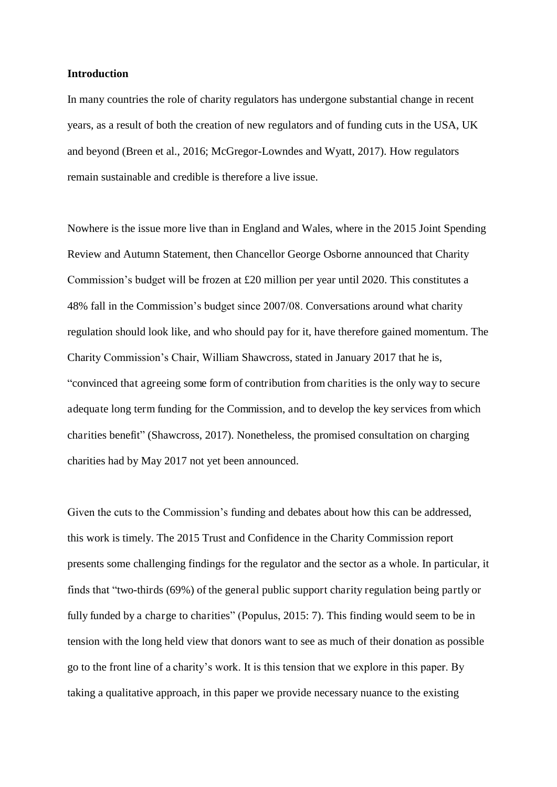#### **Introduction**

In many countries the role of charity regulators has undergone substantial change in recent years, as a result of both the creation of new regulators and of funding cuts in the USA, UK and beyond (Breen et al., 2016; McGregor-Lowndes and Wyatt, 2017). How regulators remain sustainable and credible is therefore a live issue.

Nowhere is the issue more live than in England and Wales, where in the 2015 Joint Spending Review and Autumn Statement, then Chancellor George Osborne announced that Charity Commission's budget will be frozen at £20 million per year until 2020. This constitutes a 48% fall in the Commission's budget since 2007/08. Conversations around what charity regulation should look like, and who should pay for it, have therefore gained momentum. The Charity Commission's Chair, William Shawcross, stated in January 2017 that he is, "convinced that agreeing some form of contribution from charities is the only way to secure adequate long term funding for the Commission, and to develop the key services from which charities benefit" (Shawcross, 2017). Nonetheless, the promised consultation on charging charities had by May 2017 not yet been announced.

Given the cuts to the Commission's funding and debates about how this can be addressed, this work is timely. The 2015 Trust and Confidence in the Charity Commission report presents some challenging findings for the regulator and the sector as a whole. In particular, it finds that "two-thirds (69%) of the general public support charity regulation being partly or fully funded by a charge to charities" (Populus, 2015: 7). This finding would seem to be in tension with the long held view that donors want to see as much of their donation as possible go to the front line of a charity's work. It is this tension that we explore in this paper. By taking a qualitative approach, in this paper we provide necessary nuance to the existing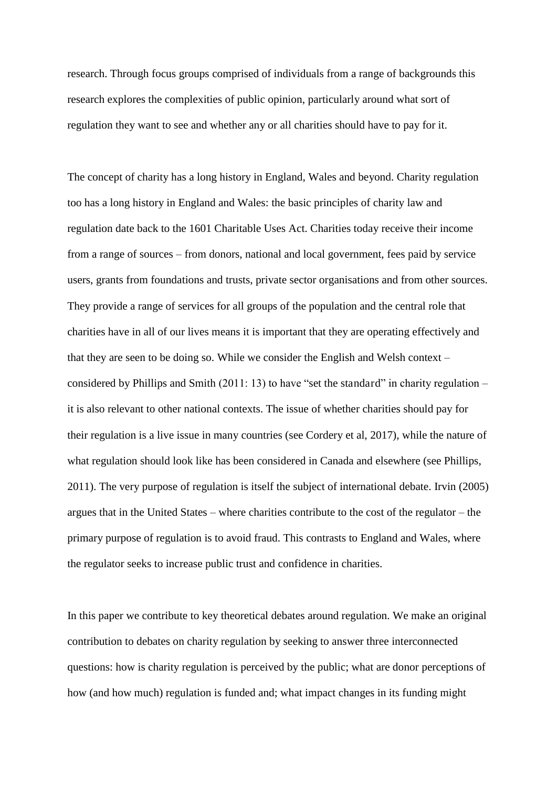research. Through focus groups comprised of individuals from a range of backgrounds this research explores the complexities of public opinion, particularly around what sort of regulation they want to see and whether any or all charities should have to pay for it.

The concept of charity has a long history in England, Wales and beyond. Charity regulation too has a long history in England and Wales: the basic principles of charity law and regulation date back to the 1601 Charitable Uses Act. Charities today receive their income from a range of sources – from donors, national and local government, fees paid by service users, grants from foundations and trusts, private sector organisations and from other sources. They provide a range of services for all groups of the population and the central role that charities have in all of our lives means it is important that they are operating effectively and that they are seen to be doing so. While we consider the English and Welsh context – considered by Phillips and Smith (2011: 13) to have "set the standard" in charity regulation – it is also relevant to other national contexts. The issue of whether charities should pay for their regulation is a live issue in many countries (see Cordery et al, 2017), while the nature of what regulation should look like has been considered in Canada and elsewhere (see Phillips, 2011). The very purpose of regulation is itself the subject of international debate. Irvin (2005) argues that in the United States – where charities contribute to the cost of the regulator – the primary purpose of regulation is to avoid fraud. This contrasts to England and Wales, where the regulator seeks to increase public trust and confidence in charities.

In this paper we contribute to key theoretical debates around regulation. We make an original contribution to debates on charity regulation by seeking to answer three interconnected questions: how is charity regulation is perceived by the public; what are donor perceptions of how (and how much) regulation is funded and; what impact changes in its funding might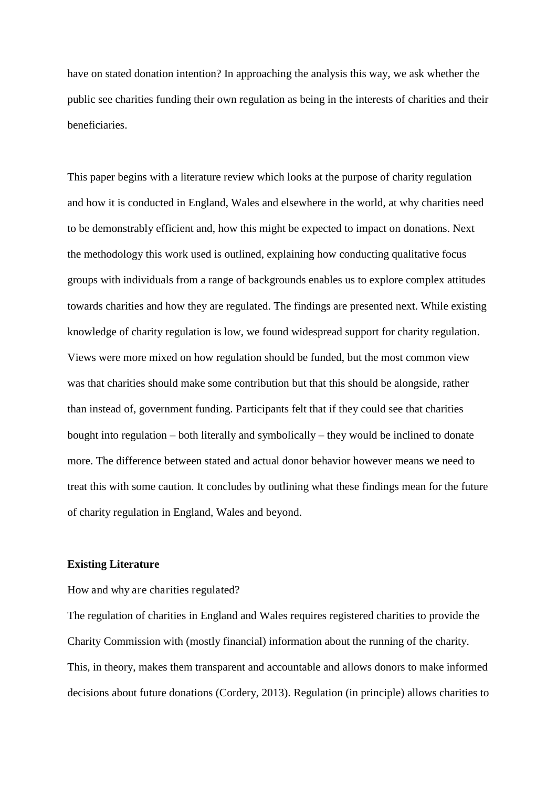have on stated donation intention? In approaching the analysis this way, we ask whether the public see charities funding their own regulation as being in the interests of charities and their beneficiaries.

This paper begins with a literature review which looks at the purpose of charity regulation and how it is conducted in England, Wales and elsewhere in the world, at why charities need to be demonstrably efficient and, how this might be expected to impact on donations. Next the methodology this work used is outlined, explaining how conducting qualitative focus groups with individuals from a range of backgrounds enables us to explore complex attitudes towards charities and how they are regulated. The findings are presented next. While existing knowledge of charity regulation is low, we found widespread support for charity regulation. Views were more mixed on how regulation should be funded, but the most common view was that charities should make some contribution but that this should be alongside, rather than instead of, government funding. Participants felt that if they could see that charities bought into regulation – both literally and symbolically – they would be inclined to donate more. The difference between stated and actual donor behavior however means we need to treat this with some caution. It concludes by outlining what these findings mean for the future of charity regulation in England, Wales and beyond.

#### **Existing Literature**

How and why are charities regulated?

The regulation of charities in England and Wales requires registered charities to provide the Charity Commission with (mostly financial) information about the running of the charity. This, in theory, makes them transparent and accountable and allows donors to make informed decisions about future donations (Cordery, 2013). Regulation (in principle) allows charities to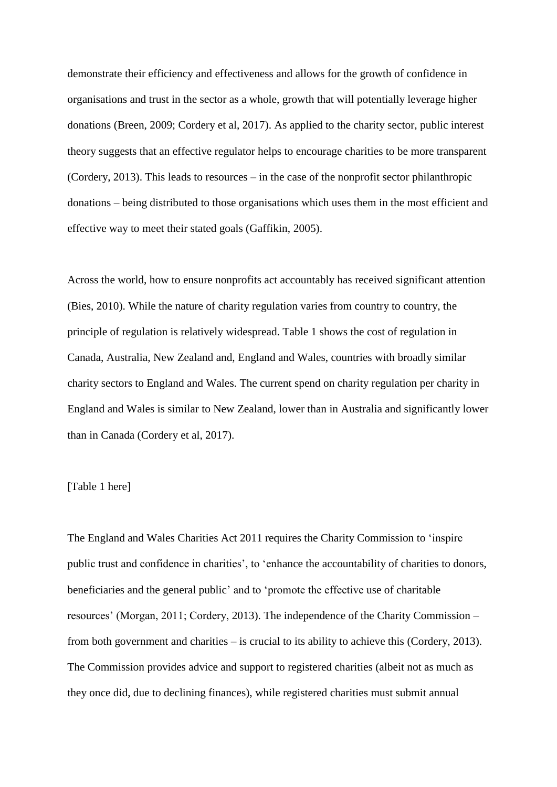demonstrate their efficiency and effectiveness and allows for the growth of confidence in organisations and trust in the sector as a whole, growth that will potentially leverage higher donations (Breen, 2009; Cordery et al, 2017). As applied to the charity sector, public interest theory suggests that an effective regulator helps to encourage charities to be more transparent (Cordery, 2013). This leads to resources – in the case of the nonprofit sector philanthropic donations – being distributed to those organisations which uses them in the most efficient and effective way to meet their stated goals (Gaffikin, 2005).

Across the world, how to ensure nonprofits act accountably has received significant attention (Bies, 2010). While the nature of charity regulation varies from country to country, the principle of regulation is relatively widespread. Table 1 shows the cost of regulation in Canada, Australia, New Zealand and, England and Wales, countries with broadly similar charity sectors to England and Wales. The current spend on charity regulation per charity in England and Wales is similar to New Zealand, lower than in Australia and significantly lower than in Canada (Cordery et al, 2017).

#### [Table 1 here]

The England and Wales Charities Act 2011 requires the Charity Commission to 'inspire public trust and confidence in charities', to 'enhance the accountability of charities to donors, beneficiaries and the general public' and to 'promote the effective use of charitable resources' (Morgan, 2011; Cordery, 2013). The independence of the Charity Commission – from both government and charities – is crucial to its ability to achieve this (Cordery, 2013). The Commission provides advice and support to registered charities (albeit not as much as they once did, due to declining finances), while registered charities must submit annual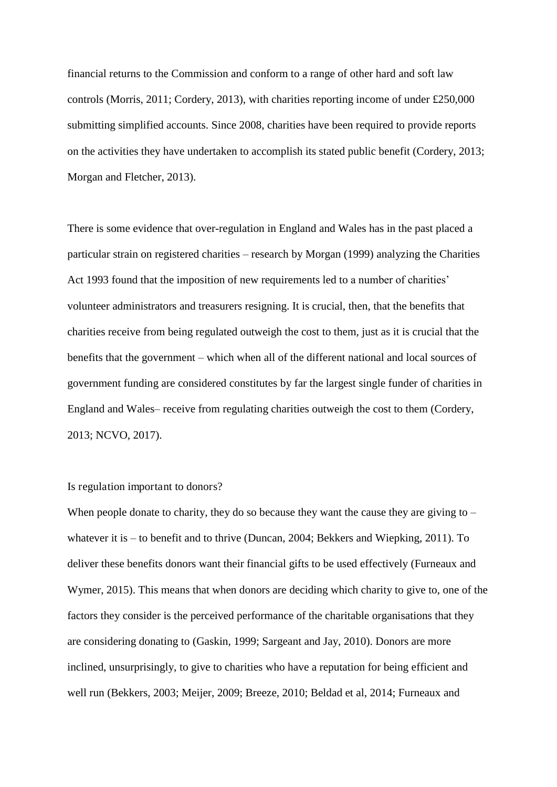financial returns to the Commission and conform to a range of other hard and soft law controls (Morris, 2011; Cordery, 2013), with charities reporting income of under £250,000 submitting simplified accounts. Since 2008, charities have been required to provide reports on the activities they have undertaken to accomplish its stated public benefit (Cordery, 2013; Morgan and Fletcher, 2013).

There is some evidence that over-regulation in England and Wales has in the past placed a particular strain on registered charities – research by Morgan (1999) analyzing the Charities Act 1993 found that the imposition of new requirements led to a number of charities' volunteer administrators and treasurers resigning. It is crucial, then, that the benefits that charities receive from being regulated outweigh the cost to them, just as it is crucial that the benefits that the government – which when all of the different national and local sources of government funding are considered constitutes by far the largest single funder of charities in England and Wales– receive from regulating charities outweigh the cost to them (Cordery, 2013; NCVO, 2017).

#### Is regulation important to donors?

When people donate to charity, they do so because they want the cause they are giving to – whatever it is – to benefit and to thrive (Duncan, 2004; Bekkers and Wiepking, 2011). To deliver these benefits donors want their financial gifts to be used effectively (Furneaux and Wymer, 2015). This means that when donors are deciding which charity to give to, one of the factors they consider is the perceived performance of the charitable organisations that they are considering donating to (Gaskin, 1999; Sargeant and Jay, 2010). Donors are more inclined, unsurprisingly, to give to charities who have a reputation for being efficient and well run (Bekkers, 2003; Meijer, 2009; Breeze, 2010; Beldad et al, 2014; Furneaux and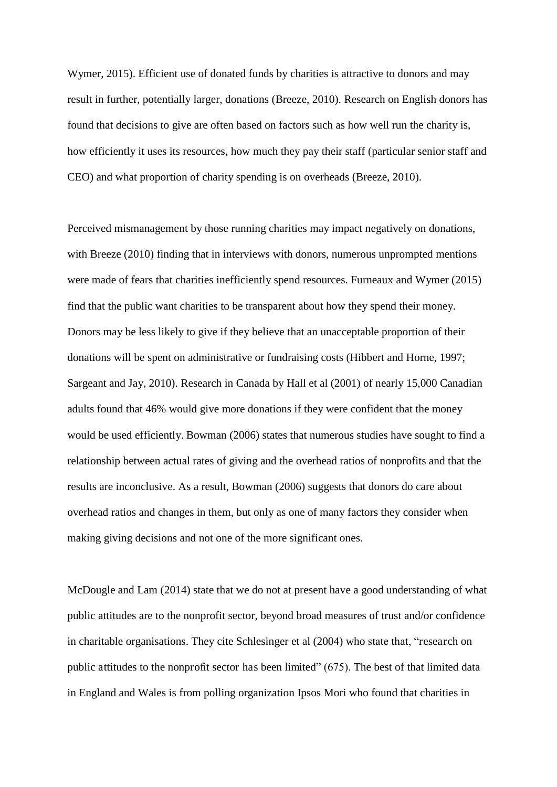Wymer, 2015). Efficient use of donated funds by charities is attractive to donors and may result in further, potentially larger, donations (Breeze, 2010). Research on English donors has found that decisions to give are often based on factors such as how well run the charity is, how efficiently it uses its resources, how much they pay their staff (particular senior staff and CEO) and what proportion of charity spending is on overheads (Breeze, 2010).

Perceived mismanagement by those running charities may impact negatively on donations, with Breeze (2010) finding that in interviews with donors, numerous unprompted mentions were made of fears that charities inefficiently spend resources. Furneaux and Wymer (2015) find that the public want charities to be transparent about how they spend their money. Donors may be less likely to give if they believe that an unacceptable proportion of their donations will be spent on administrative or fundraising costs (Hibbert and Horne, 1997; Sargeant and Jay, 2010). Research in Canada by Hall et al (2001) of nearly 15,000 Canadian adults found that 46% would give more donations if they were confident that the money would be used efficiently. Bowman (2006) states that numerous studies have sought to find a relationship between actual rates of giving and the overhead ratios of nonprofits and that the results are inconclusive. As a result, Bowman (2006) suggests that donors do care about overhead ratios and changes in them, but only as one of many factors they consider when making giving decisions and not one of the more significant ones.

McDougle and Lam (2014) state that we do not at present have a good understanding of what public attitudes are to the nonprofit sector, beyond broad measures of trust and/or confidence in charitable organisations. They cite Schlesinger et al (2004) who state that, "research on public attitudes to the nonprofit sector has been limited" (675). The best of that limited data in England and Wales is from polling organization Ipsos Mori who found that charities in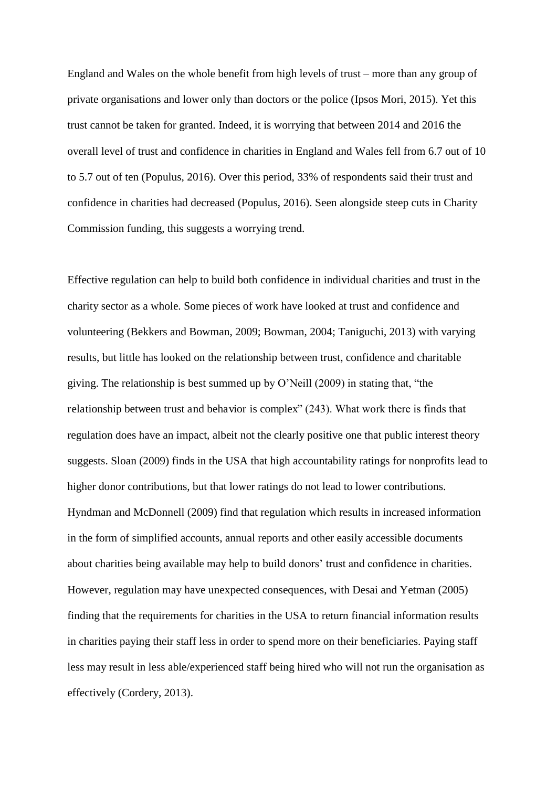England and Wales on the whole benefit from high levels of trust – more than any group of private organisations and lower only than doctors or the police (Ipsos Mori, 2015). Yet this trust cannot be taken for granted. Indeed, it is worrying that between 2014 and 2016 the overall level of trust and confidence in charities in England and Wales fell from 6.7 out of 10 to 5.7 out of ten (Populus, 2016). Over this period, 33% of respondents said their trust and confidence in charities had decreased (Populus, 2016). Seen alongside steep cuts in Charity Commission funding, this suggests a worrying trend.

Effective regulation can help to build both confidence in individual charities and trust in the charity sector as a whole. Some pieces of work have looked at trust and confidence and volunteering (Bekkers and Bowman, 2009; Bowman, 2004; Taniguchi, 2013) with varying results, but little has looked on the relationship between trust, confidence and charitable giving. The relationship is best summed up by O'Neill (2009) in stating that, "the relationship between trust and behavior is complex" (243). What work there is finds that regulation does have an impact, albeit not the clearly positive one that public interest theory suggests. Sloan (2009) finds in the USA that high accountability ratings for nonprofits lead to higher donor contributions, but that lower ratings do not lead to lower contributions. Hyndman and McDonnell (2009) find that regulation which results in increased information in the form of simplified accounts, annual reports and other easily accessible documents about charities being available may help to build donors' trust and confidence in charities. However, regulation may have unexpected consequences, with Desai and Yetman (2005) finding that the requirements for charities in the USA to return financial information results in charities paying their staff less in order to spend more on their beneficiaries. Paying staff less may result in less able/experienced staff being hired who will not run the organisation as effectively (Cordery, 2013).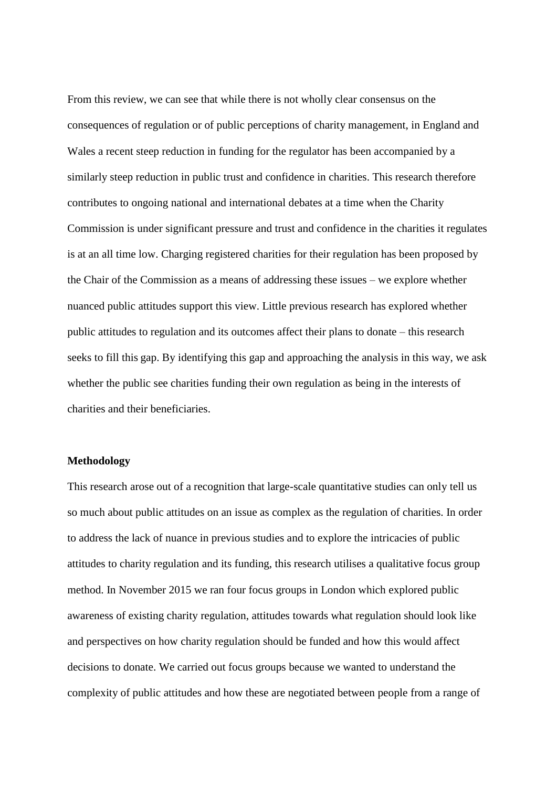From this review, we can see that while there is not wholly clear consensus on the consequences of regulation or of public perceptions of charity management, in England and Wales a recent steep reduction in funding for the regulator has been accompanied by a similarly steep reduction in public trust and confidence in charities. This research therefore contributes to ongoing national and international debates at a time when the Charity Commission is under significant pressure and trust and confidence in the charities it regulates is at an all time low. Charging registered charities for their regulation has been proposed by the Chair of the Commission as a means of addressing these issues – we explore whether nuanced public attitudes support this view. Little previous research has explored whether public attitudes to regulation and its outcomes affect their plans to donate – this research seeks to fill this gap. By identifying this gap and approaching the analysis in this way, we ask whether the public see charities funding their own regulation as being in the interests of charities and their beneficiaries.

#### **Methodology**

This research arose out of a recognition that large-scale quantitative studies can only tell us so much about public attitudes on an issue as complex as the regulation of charities. In order to address the lack of nuance in previous studies and to explore the intricacies of public attitudes to charity regulation and its funding, this research utilises a qualitative focus group method. In November 2015 we ran four focus groups in London which explored public awareness of existing charity regulation, attitudes towards what regulation should look like and perspectives on how charity regulation should be funded and how this would affect decisions to donate. We carried out focus groups because we wanted to understand the complexity of public attitudes and how these are negotiated between people from a range of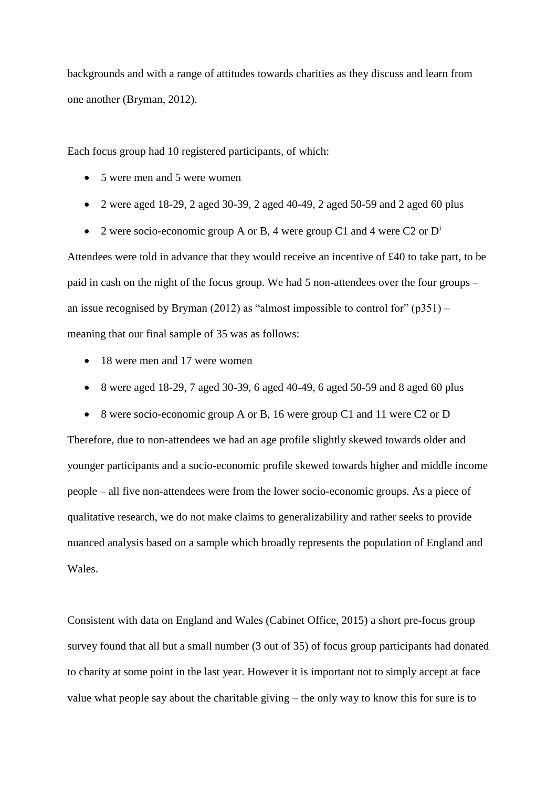backgrounds and with a range of attitudes towards charities as they discuss and learn from one another (Bryman, 2012).

Each focus group had 10 registered participants, of which:

- 5 were men and 5 were women
- 2 were aged 18-29, 2 aged 30-39, 2 aged 40-49, 2 aged 50-59 and 2 aged 60 plus
- 2 were socio-economic group A or B, 4 were group C1 and 4 were C2 or  $D^i$

Attendees were told in advance that they would receive an incentive of £40 to take part, to be paid in cash on the night of the focus group. We had 5 non-attendees over the four groups – an issue recognised by Bryman (2012) as "almost impossible to control for"  $(p351)$  – meaning that our final sample of 35 was as follows:

- 18 were men and 17 were women
- 8 were aged 18-29, 7 aged 30-39, 6 aged 40-49, 6 aged 50-59 and 8 aged 60 plus

8 were socio-economic group A or B, 16 were group C1 and 11 were C2 or D

Therefore, due to non-attendees we had an age profile slightly skewed towards older and younger participants and a socio-economic profile skewed towards higher and middle income people – all five non-attendees were from the lower socio-economic groups. As a piece of qualitative research, we do not make claims to generalizability and rather seeks to provide nuanced analysis based on a sample which broadly represents the population of England and Wales.

Consistent with data on England and Wales (Cabinet Office, 2015) a short pre-focus group survey found that all but a small number (3 out of 35) of focus group participants had donated to charity at some point in the last year. However it is important not to simply accept at face value what people say about the charitable giving – the only way to know this for sure is to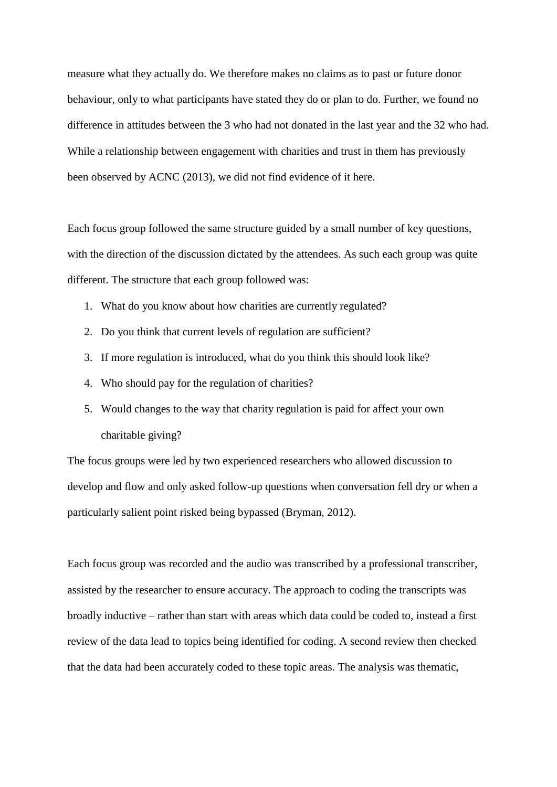measure what they actually do. We therefore makes no claims as to past or future donor behaviour, only to what participants have stated they do or plan to do. Further, we found no difference in attitudes between the 3 who had not donated in the last year and the 32 who had. While a relationship between engagement with charities and trust in them has previously been observed by ACNC (2013), we did not find evidence of it here.

Each focus group followed the same structure guided by a small number of key questions, with the direction of the discussion dictated by the attendees. As such each group was quite different. The structure that each group followed was:

- 1. What do you know about how charities are currently regulated?
- 2. Do you think that current levels of regulation are sufficient?
- 3. If more regulation is introduced, what do you think this should look like?
- 4. Who should pay for the regulation of charities?
- 5. Would changes to the way that charity regulation is paid for affect your own charitable giving?

The focus groups were led by two experienced researchers who allowed discussion to develop and flow and only asked follow-up questions when conversation fell dry or when a particularly salient point risked being bypassed (Bryman, 2012).

Each focus group was recorded and the audio was transcribed by a professional transcriber, assisted by the researcher to ensure accuracy. The approach to coding the transcripts was broadly inductive – rather than start with areas which data could be coded to, instead a first review of the data lead to topics being identified for coding. A second review then checked that the data had been accurately coded to these topic areas. The analysis was thematic,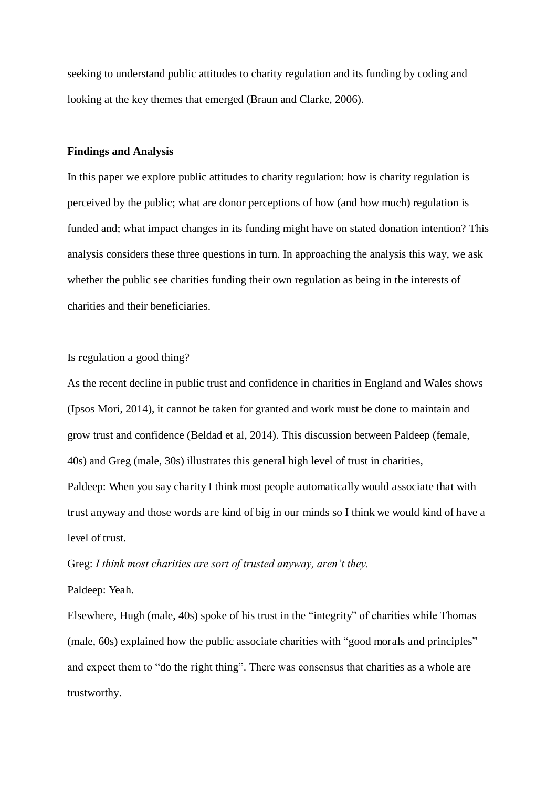seeking to understand public attitudes to charity regulation and its funding by coding and looking at the key themes that emerged (Braun and Clarke, 2006).

#### **Findings and Analysis**

In this paper we explore public attitudes to charity regulation: how is charity regulation is perceived by the public; what are donor perceptions of how (and how much) regulation is funded and; what impact changes in its funding might have on stated donation intention? This analysis considers these three questions in turn. In approaching the analysis this way, we ask whether the public see charities funding their own regulation as being in the interests of charities and their beneficiaries.

Is regulation a good thing?

As the recent decline in public trust and confidence in charities in England and Wales shows (Ipsos Mori, 2014), it cannot be taken for granted and work must be done to maintain and grow trust and confidence (Beldad et al, 2014). This discussion between Paldeep (female, 40s) and Greg (male, 30s) illustrates this general high level of trust in charities, Paldeep: When you say charity I think most people automatically would associate that with trust anyway and those words are kind of big in our minds so I think we would kind of have a level of trust.

Greg: *I think most charities are sort of trusted anyway, aren't they.* Paldeep: Yeah.

Elsewhere, Hugh (male, 40s) spoke of his trust in the "integrity" of charities while Thomas (male, 60s) explained how the public associate charities with "good morals and principles" and expect them to "do the right thing". There was consensus that charities as a whole are trustworthy.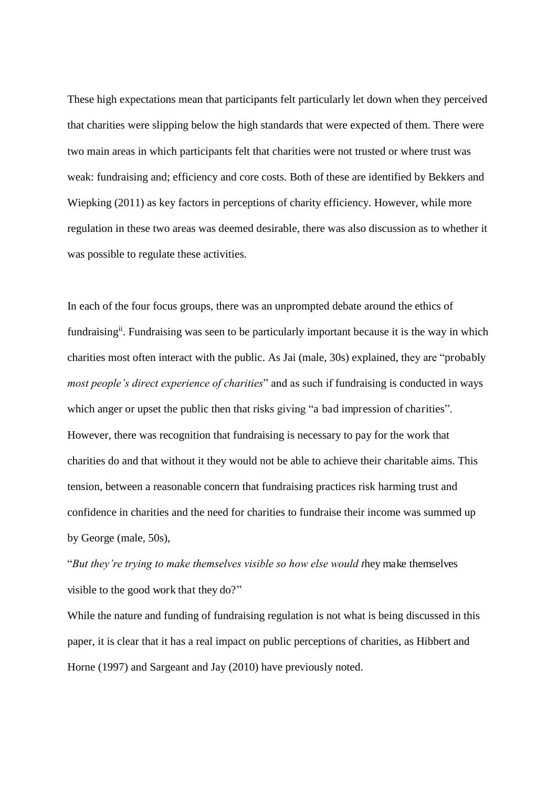These high expectations mean that participants felt particularly let down when they perceived that charities were slipping below the high standards that were expected of them. There were two main areas in which participants felt that charities were not trusted or where trust was weak: fundraising and; efficiency and core costs. Both of these are identified by Bekkers and Wiepking (2011) as key factors in perceptions of charity efficiency. However, while more regulation in these two areas was deemed desirable, there was also discussion as to whether it was possible to regulate these activities.

In each of the four focus groups, there was an unprompted debate around the ethics of fundraising<sup>ii</sup>. Fundraising was seen to be particularly important because it is the way in which charities most often interact with the public. As Jai (male, 30s) explained, they are "probably *most people's direct experience of charities*" and as such if fundraising is conducted in ways which anger or upset the public then that risks giving "a bad impression of charities". However, there was recognition that fundraising is necessary to pay for the work that charities do and that without it they would not be able to achieve their charitable aims. This tension, between a reasonable concern that fundraising practices risk harming trust and confidence in charities and the need for charities to fundraise their income was summed up by George (male, 50s),

"*But they're trying to make themselves visible so how else would t*hey make themselves visible to the good work that they do?"

While the nature and funding of fundraising regulation is not what is being discussed in this paper, it is clear that it has a real impact on public perceptions of charities, as Hibbert and Horne (1997) and Sargeant and Jay (2010) have previously noted.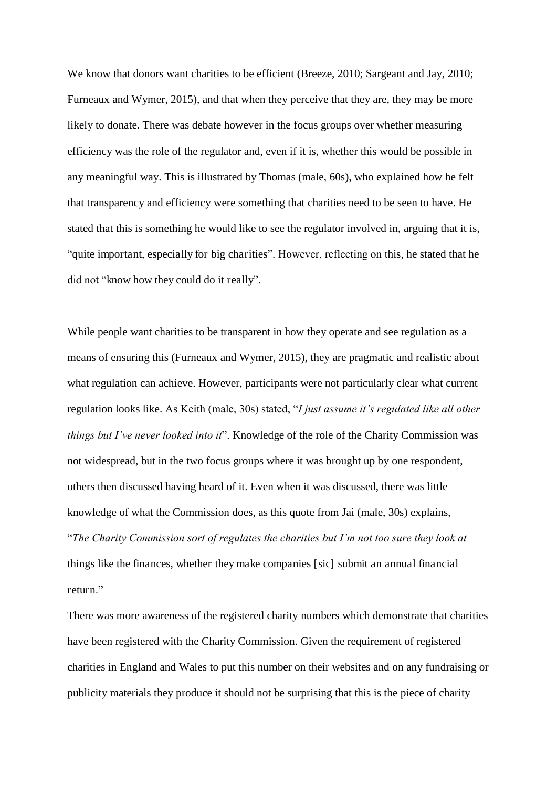We know that donors want charities to be efficient (Breeze, 2010; Sargeant and Jay, 2010; Furneaux and Wymer, 2015), and that when they perceive that they are, they may be more likely to donate. There was debate however in the focus groups over whether measuring efficiency was the role of the regulator and, even if it is, whether this would be possible in any meaningful way. This is illustrated by Thomas (male, 60s), who explained how he felt that transparency and efficiency were something that charities need to be seen to have. He stated that this is something he would like to see the regulator involved in, arguing that it is, "quite important, especially for big charities". However, reflecting on this, he stated that he did not "know how they could do it really".

While people want charities to be transparent in how they operate and see regulation as a means of ensuring this (Furneaux and Wymer, 2015), they are pragmatic and realistic about what regulation can achieve. However, participants were not particularly clear what current regulation looks like. As Keith (male, 30s) stated, "*I just assume it's regulated like all other things but I've never looked into it*". Knowledge of the role of the Charity Commission was not widespread, but in the two focus groups where it was brought up by one respondent, others then discussed having heard of it. Even when it was discussed, there was little knowledge of what the Commission does, as this quote from Jai (male, 30s) explains, "*The Charity Commission sort of regulates the charities but I'm not too sure they look at*  things like the finances, whether they make companies [sic] submit an annual financial return."

There was more awareness of the registered charity numbers which demonstrate that charities have been registered with the Charity Commission. Given the requirement of registered charities in England and Wales to put this number on their websites and on any fundraising or publicity materials they produce it should not be surprising that this is the piece of charity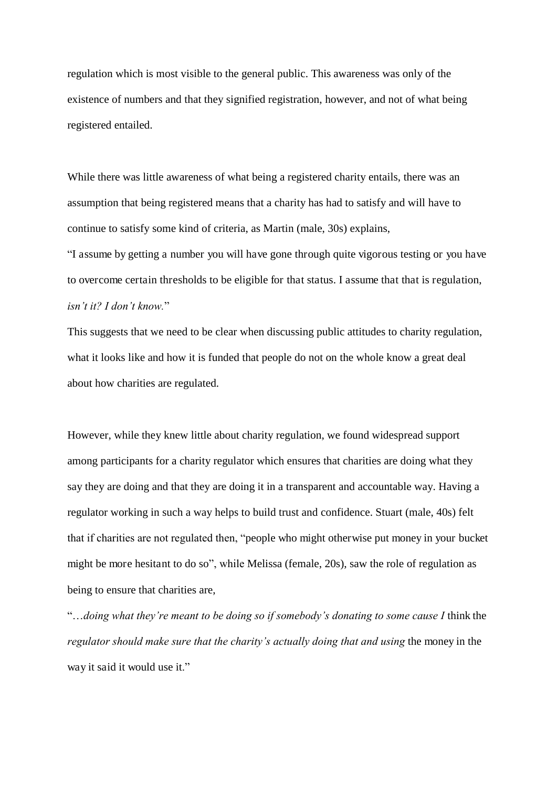regulation which is most visible to the general public. This awareness was only of the existence of numbers and that they signified registration, however, and not of what being registered entailed.

While there was little awareness of what being a registered charity entails, there was an assumption that being registered means that a charity has had to satisfy and will have to continue to satisfy some kind of criteria, as Martin (male, 30s) explains,

"I assume by getting a number you will have gone through quite vigorous testing or you have to overcome certain thresholds to be eligible for that status. I assume that that is regulation, *isn't it? I don't know.*"

This suggests that we need to be clear when discussing public attitudes to charity regulation, what it looks like and how it is funded that people do not on the whole know a great deal about how charities are regulated.

However, while they knew little about charity regulation, we found widespread support among participants for a charity regulator which ensures that charities are doing what they say they are doing and that they are doing it in a transparent and accountable way. Having a regulator working in such a way helps to build trust and confidence. Stuart (male, 40s) felt that if charities are not regulated then, "people who might otherwise put money in your bucket might be more hesitant to do so", while Melissa (female, 20s), saw the role of regulation as being to ensure that charities are,

"…*doing what they're meant to be doing so if somebody's donating to some cause I* think the *regulator should make sure that the charity's actually doing that and using* the money in the way it said it would use it."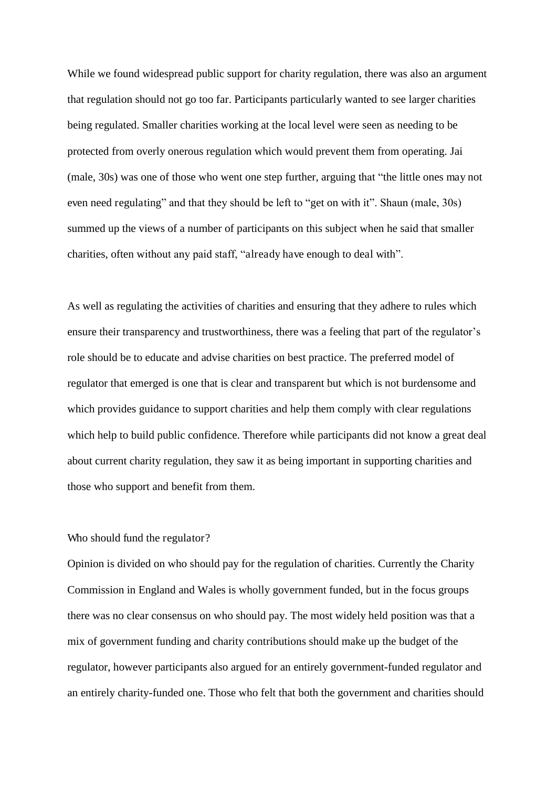While we found widespread public support for charity regulation, there was also an argument that regulation should not go too far. Participants particularly wanted to see larger charities being regulated. Smaller charities working at the local level were seen as needing to be protected from overly onerous regulation which would prevent them from operating. Jai (male, 30s) was one of those who went one step further, arguing that "the little ones may not even need regulating" and that they should be left to "get on with it". Shaun (male, 30s) summed up the views of a number of participants on this subject when he said that smaller charities, often without any paid staff, "already have enough to deal with".

As well as regulating the activities of charities and ensuring that they adhere to rules which ensure their transparency and trustworthiness, there was a feeling that part of the regulator's role should be to educate and advise charities on best practice. The preferred model of regulator that emerged is one that is clear and transparent but which is not burdensome and which provides guidance to support charities and help them comply with clear regulations which help to build public confidence. Therefore while participants did not know a great deal about current charity regulation, they saw it as being important in supporting charities and those who support and benefit from them.

#### Who should fund the regulator?

Opinion is divided on who should pay for the regulation of charities. Currently the Charity Commission in England and Wales is wholly government funded, but in the focus groups there was no clear consensus on who should pay. The most widely held position was that a mix of government funding and charity contributions should make up the budget of the regulator, however participants also argued for an entirely government-funded regulator and an entirely charity-funded one. Those who felt that both the government and charities should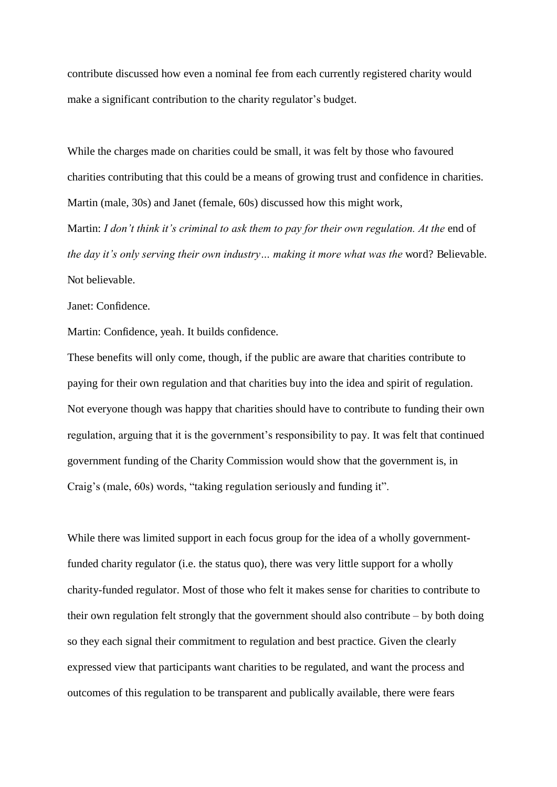contribute discussed how even a nominal fee from each currently registered charity would make a significant contribution to the charity regulator's budget.

While the charges made on charities could be small, it was felt by those who favoured charities contributing that this could be a means of growing trust and confidence in charities. Martin (male, 30s) and Janet (female, 60s) discussed how this might work, Martin: *I don't think it's criminal to ask them to pay for their own regulation. At the* end of *the day it's only serving their own industry... making it more what was the word? Believable.* Not believable.

#### Janet: Confidence.

Martin: Confidence, yeah. It builds confidence.

These benefits will only come, though, if the public are aware that charities contribute to paying for their own regulation and that charities buy into the idea and spirit of regulation. Not everyone though was happy that charities should have to contribute to funding their own regulation, arguing that it is the government's responsibility to pay. It was felt that continued government funding of the Charity Commission would show that the government is, in Craig's (male, 60s) words, "taking regulation seriously and funding it".

While there was limited support in each focus group for the idea of a wholly governmentfunded charity regulator (i.e. the status quo), there was very little support for a wholly charity-funded regulator. Most of those who felt it makes sense for charities to contribute to their own regulation felt strongly that the government should also contribute – by both doing so they each signal their commitment to regulation and best practice. Given the clearly expressed view that participants want charities to be regulated, and want the process and outcomes of this regulation to be transparent and publically available, there were fears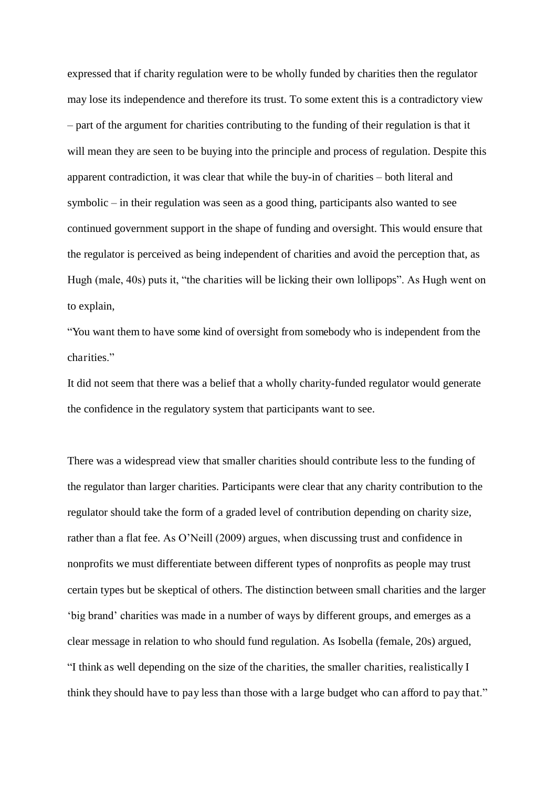expressed that if charity regulation were to be wholly funded by charities then the regulator may lose its independence and therefore its trust. To some extent this is a contradictory view – part of the argument for charities contributing to the funding of their regulation is that it will mean they are seen to be buying into the principle and process of regulation. Despite this apparent contradiction, it was clear that while the buy-in of charities – both literal and symbolic – in their regulation was seen as a good thing, participants also wanted to see continued government support in the shape of funding and oversight. This would ensure that the regulator is perceived as being independent of charities and avoid the perception that, as Hugh (male, 40s) puts it, "the charities will be licking their own lollipops". As Hugh went on to explain,

"You want them to have some kind of oversight from somebody who is independent from the charities."

It did not seem that there was a belief that a wholly charity-funded regulator would generate the confidence in the regulatory system that participants want to see.

There was a widespread view that smaller charities should contribute less to the funding of the regulator than larger charities. Participants were clear that any charity contribution to the regulator should take the form of a graded level of contribution depending on charity size, rather than a flat fee. As O'Neill (2009) argues, when discussing trust and confidence in nonprofits we must differentiate between different types of nonprofits as people may trust certain types but be skeptical of others. The distinction between small charities and the larger 'big brand' charities was made in a number of ways by different groups, and emerges as a clear message in relation to who should fund regulation. As Isobella (female, 20s) argued, "I think as well depending on the size of the charities, the smaller charities, realistically I think they should have to pay less than those with a large budget who can afford to pay that."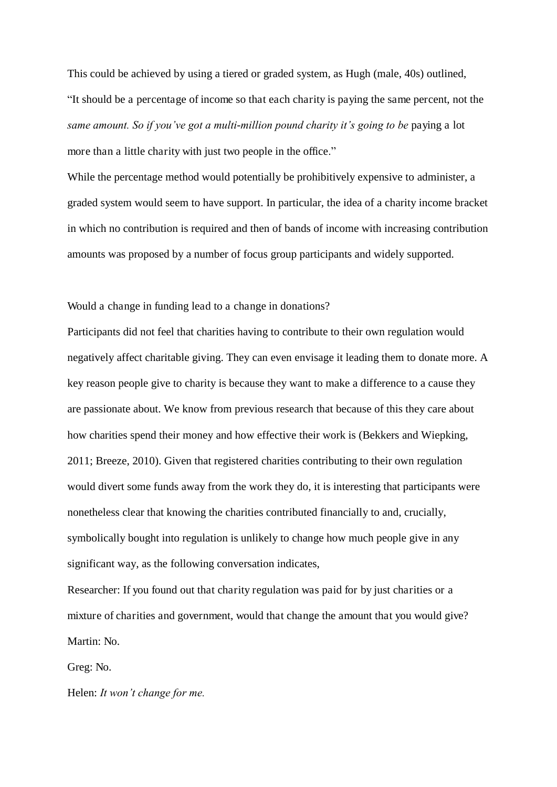This could be achieved by using a tiered or graded system, as Hugh (male, 40s) outlined, "It should be a percentage of income so that each charity is paying the same percent, not the *same amount. So if you've got a multi*-*million pound charity it's going to be* paying a lot more than a little charity with just two people in the office."

While the percentage method would potentially be prohibitively expensive to administer, a graded system would seem to have support. In particular, the idea of a charity income bracket in which no contribution is required and then of bands of income with increasing contribution amounts was proposed by a number of focus group participants and widely supported.

#### Would a change in funding lead to a change in donations?

Participants did not feel that charities having to contribute to their own regulation would negatively affect charitable giving. They can even envisage it leading them to donate more. A key reason people give to charity is because they want to make a difference to a cause they are passionate about. We know from previous research that because of this they care about how charities spend their money and how effective their work is (Bekkers and Wiepking, 2011; Breeze, 2010). Given that registered charities contributing to their own regulation would divert some funds away from the work they do, it is interesting that participants were nonetheless clear that knowing the charities contributed financially to and, crucially, symbolically bought into regulation is unlikely to change how much people give in any significant way, as the following conversation indicates,

Researcher: If you found out that charity regulation was paid for by just charities or a mixture of charities and government, would that change the amount that you would give? Martin: No.

Greg: No.

Helen: *It won't change for me.*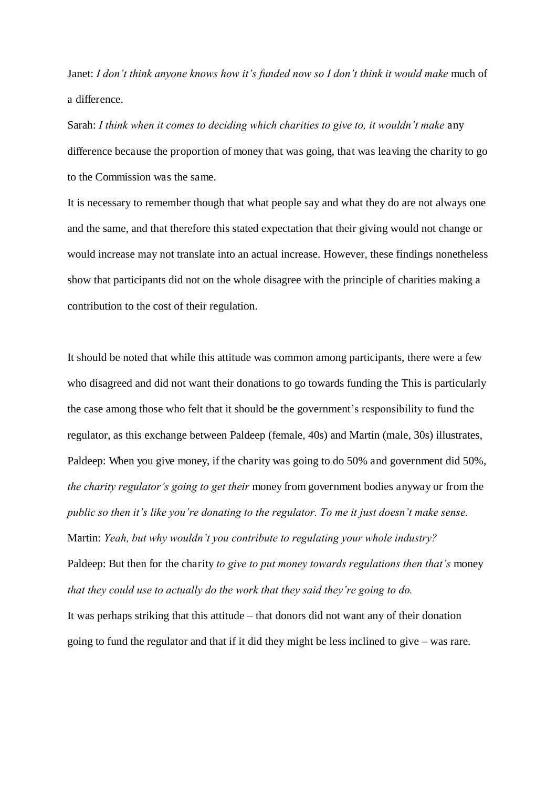Janet: *I don't think anyone knows how it's funded now so I don't think it would make* much of a difference.

Sarah: *I think when it comes to deciding which charities to give to, it wouldn't make any* difference because the proportion of money that was going, that was leaving the charity to go to the Commission was the same.

It is necessary to remember though that what people say and what they do are not always one and the same, and that therefore this stated expectation that their giving would not change or would increase may not translate into an actual increase. However, these findings nonetheless show that participants did not on the whole disagree with the principle of charities making a contribution to the cost of their regulation.

It should be noted that while this attitude was common among participants, there were a few who disagreed and did not want their donations to go towards funding the This is particularly the case among those who felt that it should be the government's responsibility to fund the regulator, as this exchange between Paldeep (female, 40s) and Martin (male, 30s) illustrates, Paldeep: When you give money, if the charity was going to do 50% and government did 50%, *the charity regulator's going to get their* money from government bodies anyway or from the *public so then it's like you're donating to the regulator. To me it just doesn't make sense.* Martin: *Yeah, but why wouldn't you contribute to regulating your whole industry?* Paldeep: But then for the charity *to give to put money towards regulations then that's* money *that they could use to actually do the work that they said they're going to do.* It was perhaps striking that this attitude – that donors did not want any of their donation

going to fund the regulator and that if it did they might be less inclined to give – was rare.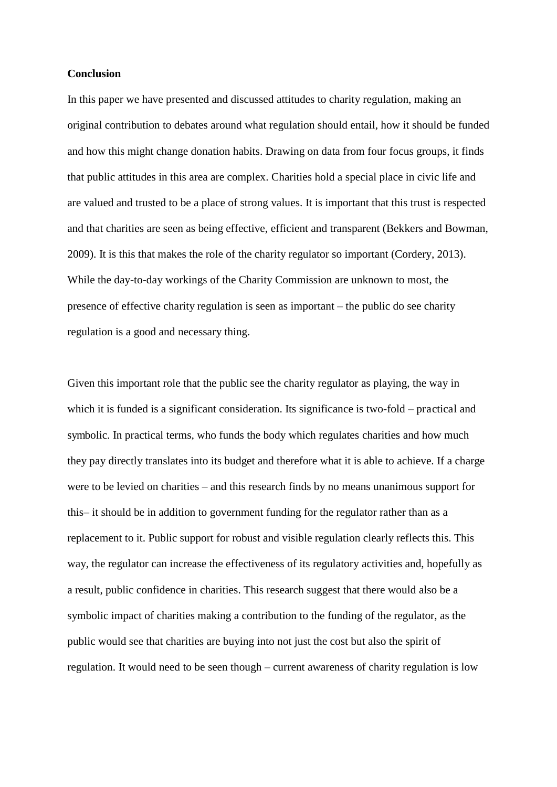#### **Conclusion**

In this paper we have presented and discussed attitudes to charity regulation, making an original contribution to debates around what regulation should entail, how it should be funded and how this might change donation habits. Drawing on data from four focus groups, it finds that public attitudes in this area are complex. Charities hold a special place in civic life and are valued and trusted to be a place of strong values. It is important that this trust is respected and that charities are seen as being effective, efficient and transparent (Bekkers and Bowman, 2009). It is this that makes the role of the charity regulator so important (Cordery, 2013). While the day-to-day workings of the Charity Commission are unknown to most, the presence of effective charity regulation is seen as important – the public do see charity regulation is a good and necessary thing.

Given this important role that the public see the charity regulator as playing, the way in which it is funded is a significant consideration. Its significance is two-fold – practical and symbolic. In practical terms, who funds the body which regulates charities and how much they pay directly translates into its budget and therefore what it is able to achieve. If a charge were to be levied on charities – and this research finds by no means unanimous support for this– it should be in addition to government funding for the regulator rather than as a replacement to it. Public support for robust and visible regulation clearly reflects this. This way, the regulator can increase the effectiveness of its regulatory activities and, hopefully as a result, public confidence in charities. This research suggest that there would also be a symbolic impact of charities making a contribution to the funding of the regulator, as the public would see that charities are buying into not just the cost but also the spirit of regulation. It would need to be seen though – current awareness of charity regulation is low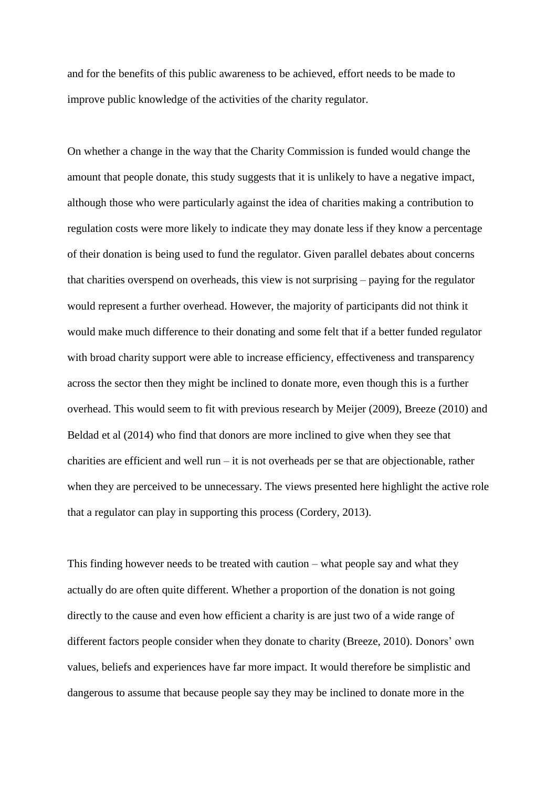and for the benefits of this public awareness to be achieved, effort needs to be made to improve public knowledge of the activities of the charity regulator.

On whether a change in the way that the Charity Commission is funded would change the amount that people donate, this study suggests that it is unlikely to have a negative impact, although those who were particularly against the idea of charities making a contribution to regulation costs were more likely to indicate they may donate less if they know a percentage of their donation is being used to fund the regulator. Given parallel debates about concerns that charities overspend on overheads, this view is not surprising – paying for the regulator would represent a further overhead. However, the majority of participants did not think it would make much difference to their donating and some felt that if a better funded regulator with broad charity support were able to increase efficiency, effectiveness and transparency across the sector then they might be inclined to donate more, even though this is a further overhead. This would seem to fit with previous research by Meijer (2009), Breeze (2010) and Beldad et al (2014) who find that donors are more inclined to give when they see that charities are efficient and well run – it is not overheads per se that are objectionable, rather when they are perceived to be unnecessary. The views presented here highlight the active role that a regulator can play in supporting this process (Cordery, 2013).

This finding however needs to be treated with caution – what people say and what they actually do are often quite different. Whether a proportion of the donation is not going directly to the cause and even how efficient a charity is are just two of a wide range of different factors people consider when they donate to charity (Breeze, 2010). Donors' own values, beliefs and experiences have far more impact. It would therefore be simplistic and dangerous to assume that because people say they may be inclined to donate more in the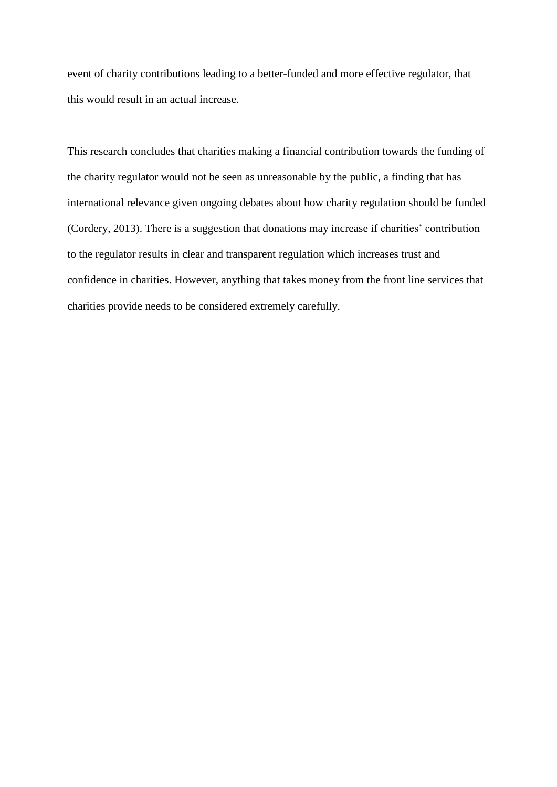event of charity contributions leading to a better-funded and more effective regulator, that this would result in an actual increase.

This research concludes that charities making a financial contribution towards the funding of the charity regulator would not be seen as unreasonable by the public, a finding that has international relevance given ongoing debates about how charity regulation should be funded (Cordery, 2013). There is a suggestion that donations may increase if charities' contribution to the regulator results in clear and transparent regulation which increases trust and confidence in charities. However, anything that takes money from the front line services that charities provide needs to be considered extremely carefully.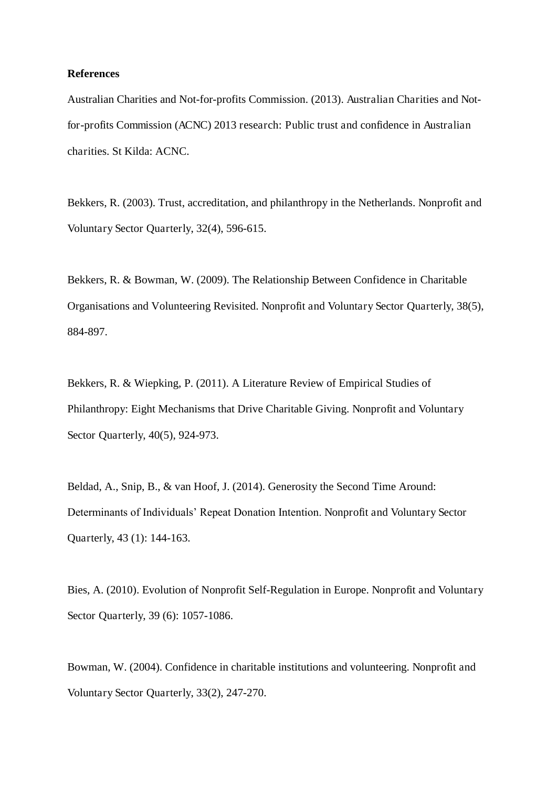#### **References**

Australian Charities and Not-for-profits Commission. (2013). Australian Charities and Notfor-profits Commission (ACNC) 2013 research: Public trust and confidence in Australian charities. St Kilda: ACNC.

Bekkers, R. (2003). Trust, accreditation, and philanthropy in the Netherlands. Nonprofit and Voluntary Sector Quarterly, 32(4), 596-615.

Bekkers, R. & Bowman, W. (2009). The Relationship Between Confidence in Charitable Organisations and Volunteering Revisited. Nonprofit and Voluntary Sector Quarterly, 38(5), 884-897.

Bekkers, R. & Wiepking, P. (2011). A Literature Review of Empirical Studies of Philanthropy: Eight Mechanisms that Drive Charitable Giving. Nonprofit and Voluntary Sector Quarterly, 40(5), 924-973.

Beldad, A., Snip, B., & van Hoof, J. (2014). Generosity the Second Time Around: Determinants of Individuals' Repeat Donation Intention. Nonprofit and Voluntary Sector Quarterly, 43 (1): 144-163.

Bies, A. (2010). Evolution of Nonprofit Self-Regulation in Europe. Nonprofit and Voluntary Sector Quarterly, 39 (6): 1057-1086.

Bowman, W. (2004). Confidence in charitable institutions and volunteering. Nonprofit and Voluntary Sector Quarterly, 33(2), 247-270.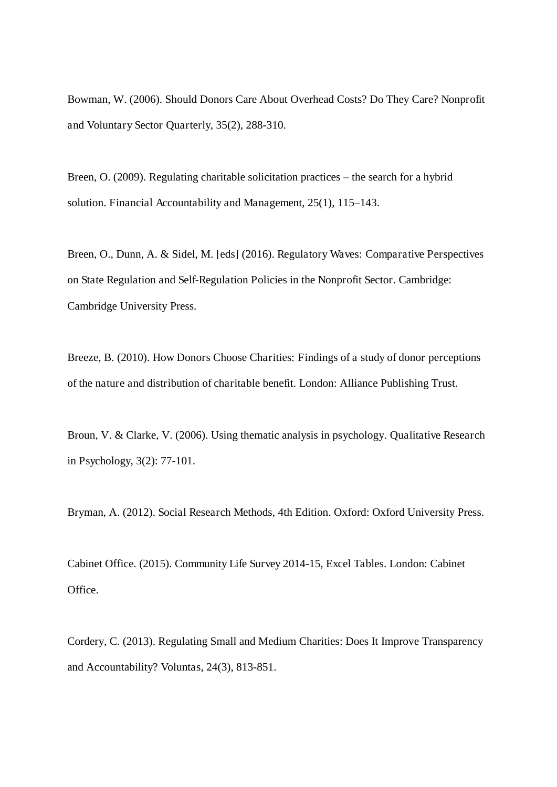Bowman, W. (2006). Should Donors Care About Overhead Costs? Do They Care? Nonprofit and Voluntary Sector Quarterly, 35(2), 288-310.

Breen, O. (2009). Regulating charitable solicitation practices – the search for a hybrid solution. Financial Accountability and Management, 25(1), 115–143.

Breen, O., Dunn, A. & Sidel, M. [eds] (2016). Regulatory Waves: Comparative Perspectives on State Regulation and Self-Regulation Policies in the Nonprofit Sector. Cambridge: Cambridge University Press.

Breeze, B. (2010). How Donors Choose Charities: Findings of a study of donor perceptions of the nature and distribution of charitable benefit. London: Alliance Publishing Trust.

Broun, V. & Clarke, V. (2006). Using thematic analysis in psychology. Qualitative Research in Psychology, 3(2): 77-101.

Bryman, A. (2012). Social Research Methods, 4th Edition. Oxford: Oxford University Press.

Cabinet Office. (2015). Community Life Survey 2014-15, Excel Tables. London: Cabinet Office.

Cordery, C. (2013). Regulating Small and Medium Charities: Does It Improve Transparency and Accountability? Voluntas, 24(3), 813-851.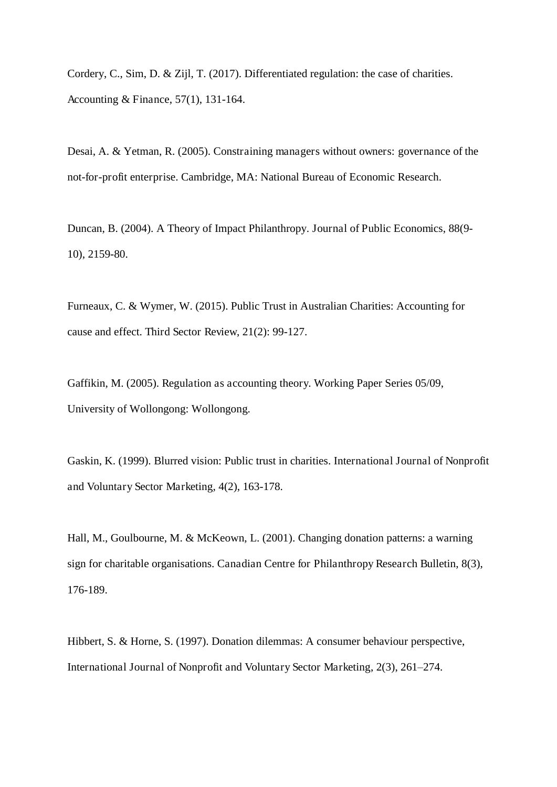Cordery, C., Sim, D. & Zijl, T. (2017). Differentiated regulation: the case of charities. Accounting & Finance, 57(1), 131-164.

Desai, A. & Yetman, R. (2005). Constraining managers without owners: governance of the not-for-profit enterprise. Cambridge, MA: National Bureau of Economic Research.

Duncan, B. (2004). A Theory of Impact Philanthropy. Journal of Public Economics, 88(9- 10), 2159-80.

Furneaux, C. & Wymer, W. (2015). Public Trust in Australian Charities: Accounting for cause and effect. Third Sector Review, 21(2): 99-127.

Gaffikin, M. (2005). Regulation as accounting theory. Working Paper Series 05/09, University of Wollongong: Wollongong.

Gaskin, K. (1999). Blurred vision: Public trust in charities. International Journal of Nonprofit and Voluntary Sector Marketing, 4(2), 163-178.

Hall, M., Goulbourne, M. & McKeown, L. (2001). Changing donation patterns: a warning sign for charitable organisations. Canadian Centre for Philanthropy Research Bulletin, 8(3), 176-189.

Hibbert, S. & Horne, S. (1997). Donation dilemmas: A consumer behaviour perspective, International Journal of Nonprofit and Voluntary Sector Marketing, 2(3), 261–274.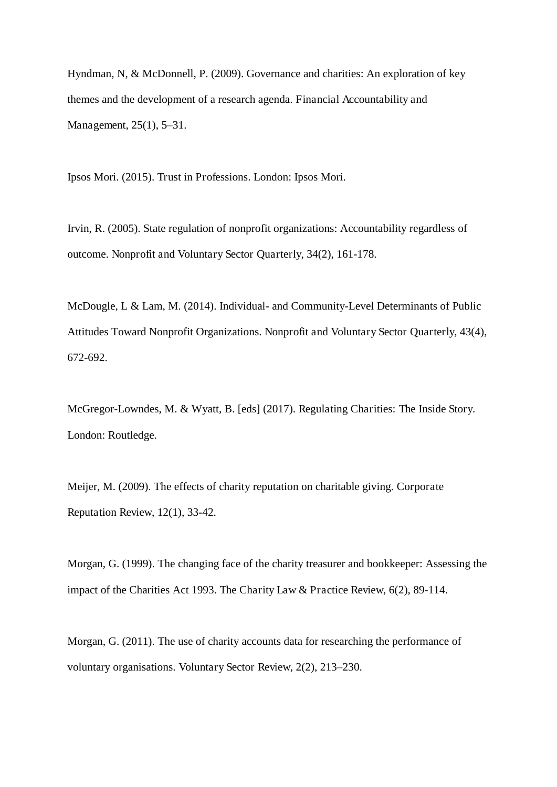Hyndman, N, & McDonnell, P. (2009). Governance and charities: An exploration of key themes and the development of a research agenda. Financial Accountability and Management, 25(1), 5–31.

Ipsos Mori. (2015). Trust in Professions. London: Ipsos Mori.

Irvin, R. (2005). State regulation of nonprofit organizations: Accountability regardless of outcome. Nonprofit and Voluntary Sector Quarterly, 34(2), 161-178.

McDougle, L & Lam, M. (2014). Individual- and Community-Level Determinants of Public Attitudes Toward Nonprofit Organizations. Nonprofit and Voluntary Sector Quarterly, 43(4), 672-692.

McGregor-Lowndes, M. & Wyatt, B. [eds] (2017). Regulating Charities: The Inside Story. London: Routledge.

Meijer, M. (2009). The effects of charity reputation on charitable giving. Corporate Reputation Review, 12(1), 33-42.

Morgan, G. (1999). The changing face of the charity treasurer and bookkeeper: Assessing the impact of the Charities Act 1993. The Charity Law & Practice Review, 6(2), 89-114.

Morgan, G. (2011). The use of charity accounts data for researching the performance of voluntary organisations. Voluntary Sector Review, 2(2), 213–230.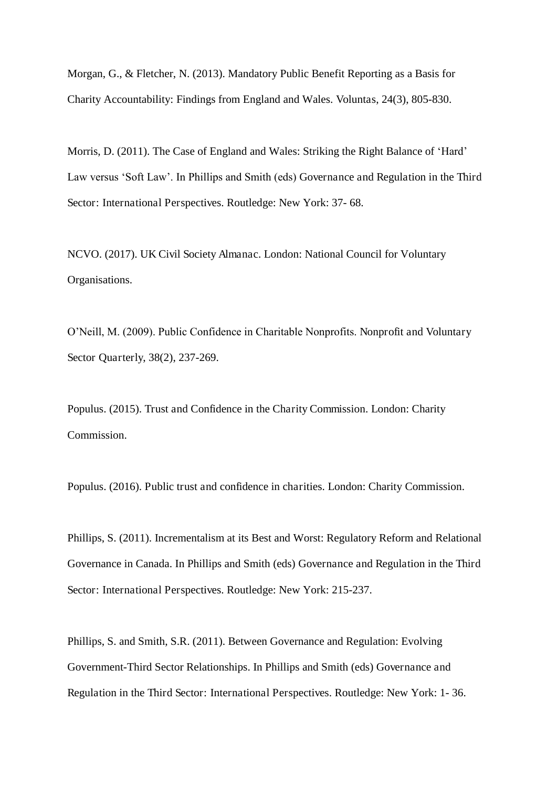Morgan, G., & Fletcher, N. (2013). Mandatory Public Benefit Reporting as a Basis for Charity Accountability: Findings from England and Wales. Voluntas, 24(3), 805-830.

Morris, D. (2011). The Case of England and Wales: Striking the Right Balance of 'Hard' Law versus 'Soft Law'. In Phillips and Smith (eds) Governance and Regulation in the Third Sector: International Perspectives. Routledge: New York: 37- 68.

NCVO. (2017). UK Civil Society Almanac. London: National Council for Voluntary Organisations.

O'Neill, M. (2009). Public Confidence in Charitable Nonprofits. Nonprofit and Voluntary Sector Quarterly, 38(2), 237-269.

Populus. (2015). Trust and Confidence in the Charity Commission. London: Charity Commission.

Populus. (2016). Public trust and confidence in charities. London: Charity Commission.

Phillips, S. (2011). Incrementalism at its Best and Worst: Regulatory Reform and Relational Governance in Canada. In Phillips and Smith (eds) Governance and Regulation in the Third Sector: International Perspectives. Routledge: New York: 215-237.

Phillips, S. and Smith, S.R. (2011). Between Governance and Regulation: Evolving Government-Third Sector Relationships. In Phillips and Smith (eds) Governance and Regulation in the Third Sector: International Perspectives. Routledge: New York: 1- 36.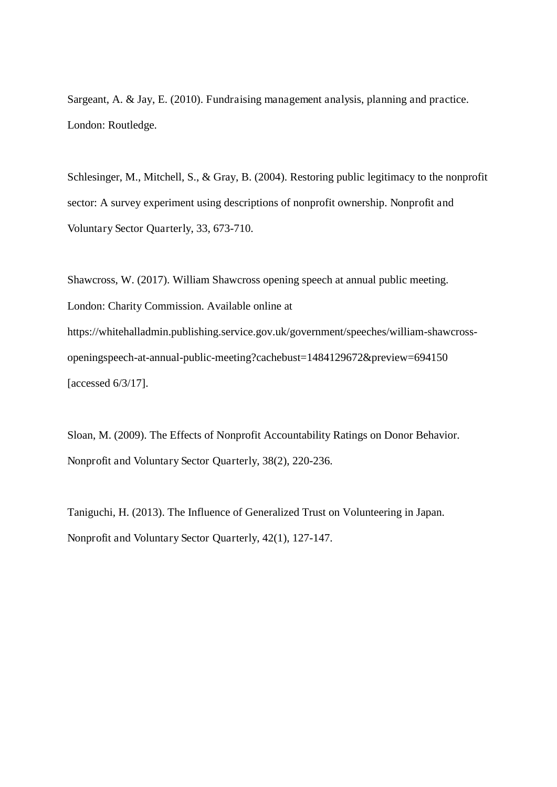Sargeant, A. & Jay, E. (2010). Fundraising management analysis, planning and practice. London: Routledge.

Schlesinger, M., Mitchell, S., & Gray, B. (2004). Restoring public legitimacy to the nonprofit sector: A survey experiment using descriptions of nonprofit ownership. Nonprofit and Voluntary Sector Quarterly, 33, 673-710.

Shawcross, W. (2017). William Shawcross opening speech at annual public meeting. London: Charity Commission. Available online at https://whitehalladmin.publishing.service.gov.uk/government/speeches/william-shawcrossopeningspeech-at-annual-public-meeting?cachebust=1484129672&preview=694150 [accessed 6/3/17].

Sloan, M. (2009). The Effects of Nonprofit Accountability Ratings on Donor Behavior. Nonprofit and Voluntary Sector Quarterly, 38(2), 220-236.

Taniguchi, H. (2013). The Influence of Generalized Trust on Volunteering in Japan. Nonprofit and Voluntary Sector Quarterly, 42(1), 127-147.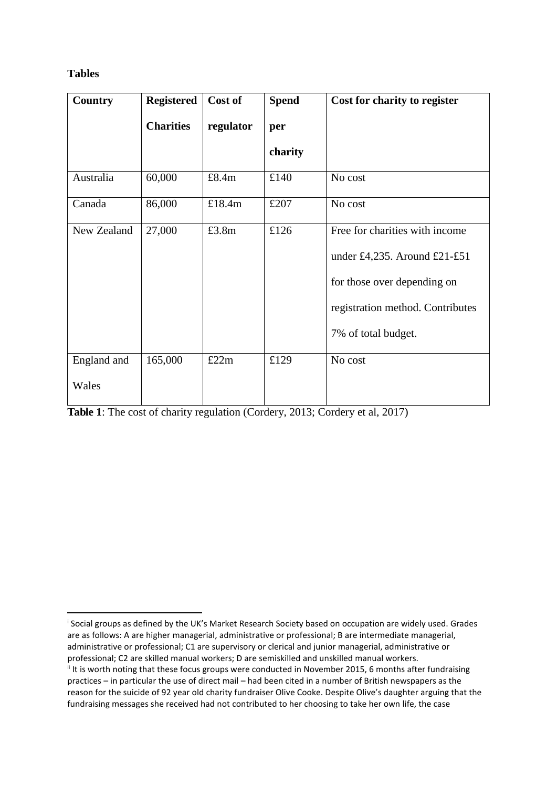## **Tables**

<u>.</u>

| <b>Country</b>       | <b>Registered</b> | Cost of   | <b>Spend</b> | Cost for charity to register                                                                                                                             |
|----------------------|-------------------|-----------|--------------|----------------------------------------------------------------------------------------------------------------------------------------------------------|
|                      | <b>Charities</b>  | regulator | per          |                                                                                                                                                          |
|                      |                   |           | charity      |                                                                                                                                                          |
| Australia            | 60,000            | £8.4m     | £140         | No cost                                                                                                                                                  |
| Canada               | 86,000            | £18.4m    | £207         | No cost                                                                                                                                                  |
| New Zealand          | 27,000            | £3.8m     | £126         | Free for charities with income<br>under £4,235. Around £21-£51<br>for those over depending on<br>registration method. Contributes<br>7% of total budget. |
| England and<br>Wales | 165,000           | £22m      | £129         | No cost                                                                                                                                                  |

**Table 1**: The cost of charity regulation (Cordery, 2013; Cordery et al, 2017)

Social groups as defined by the UK's Market Research Society based on occupation are widely used. Grades are as follows: A are higher managerial, administrative or professional; B are intermediate managerial, administrative or professional; C1 are supervisory or clerical and junior managerial, administrative or professional; C2 are skilled manual workers; D are semiskilled and unskilled manual workers.

<sup>&</sup>lt;sup>ii</sup> It is worth noting that these focus groups were conducted in November 2015, 6 months after fundraising practices - in particular the use of direct mail - had been cited in a number of British newspapers as the reason for the suicide of 92 year old charity fundraiser Olive Cooke. Despite Olive's daughter arguing that the fundraising messages she received had not contributed to her choosing to take her own life, the case